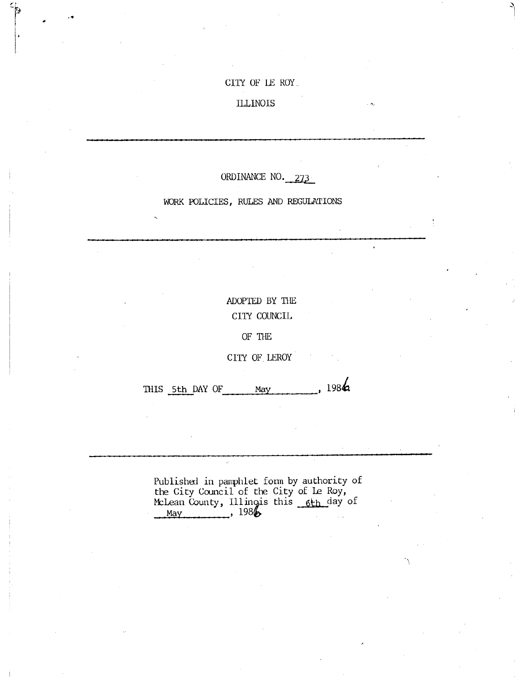## CITY OF LE ROY\_

## ILLINOIS

1 I

## ORDINANCE NO. 273

#### WORK POLICIES, RULES AND REGULATIONS

# ADOPTED BY THE CITY COUNCIL

OF THE

CITY OF LEROY

THIS 5th DAY OF May , 1984

Published in pamphlet form by authority of the City Council of the City of Le Roy, McLean County, Illingis this 6th day of  $\text{May}$ , 198 $\bigoplus$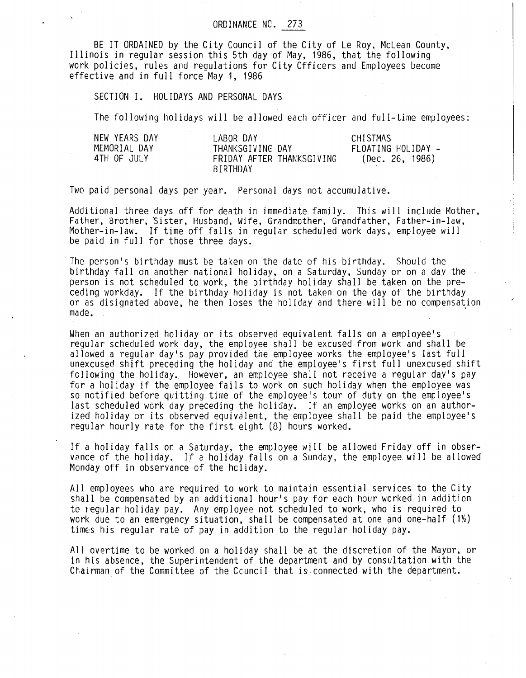BE IT ORDAINED by the City Council of the City of Le Roy, McLean County, Illinois in regular session this 5th day of May, 1986, that the following work policies, rules and regulations for City Officers and Employees become effective and in full force May 1, 1986

SECTION I. HOLIDAYS AND PERSONAL DAYS

The following holidays will be allowed each officer and full-time employees:

| NEW YEARS DAY | LABOR DAY                             | CHISTMAS           |
|---------------|---------------------------------------|--------------------|
| MEMORIAL DAY  | THANKSGIVING DAY                      | FLOATING HOLIDAY - |
| 4TH OF JULY   | FRIDAY AFTER THANKSGIVING<br>BIRTHDAY | (Dec. 26, 1986)    |

Two paid personal days per year. Personal days not accumulative.

Additional three days off for death in immediate family. This will include Mother, Father, Brother, Sister, Husband, Wife, Grandmother, Grandfather, Father-in-law, Mother-in-law. If time off falls in regular scheduled work days, employee will be paid in full for those three days.

The person's birthday must be taken on the date of his birthday. Should the birthday fall on another national holiday, on a Saturday, Sunday or on a day the person is not scheduled to work, the birthday holiday shall be taken on the preceding workday. If the birthday holiday is not taken on the day of the birthday or as disignated above, he then loses the holiday and there will be no compensation made.

When an authorized holiday or its observed equivalent falls on a employee's regular scheduled work day, the employee shall be excused from work and shall be allowed a regular day's pay provided the employee works the employee's last full unexcused shift preceding the holiday and the employee's first full unexcused shift following the holiday. However, an employee shall not receive a regular day's pay for a holiday if the employee fails to work on such holiday when the employee was so notified before quitting time of the employee's tour of duty on the employee's last scheduled work day preceding the holiday. If an employee works on an authorized holiday or its observed equivalent, the employee shall be paid the employee's regular hourly rate for the first eight (8) hours worked.

If a holiday falls or a Saturday, the employee will be allowed Friday off in observance of the holiday. If a holiday falls on a Sunday, the employee.will be allowed Monday off in observance of the hcliday.

All employees who are required to work to maintain essential services to the City shall be compensated by an additional hour's pay for each hour worked in addition to regular holiday pay. Any employee not scheduled to work, who is required to work due to an emergency situation, shall be compensated at one and one-half  $(1')_2$ times his regular rate of pay in addition to the regular holiday pay.

All overtime to be worked on a holiday shall be at the discretion of the Mayor, or in his absence, the Superintendent of the department and by consultation with the Chairman of the Committee of the Council that is connected with the department.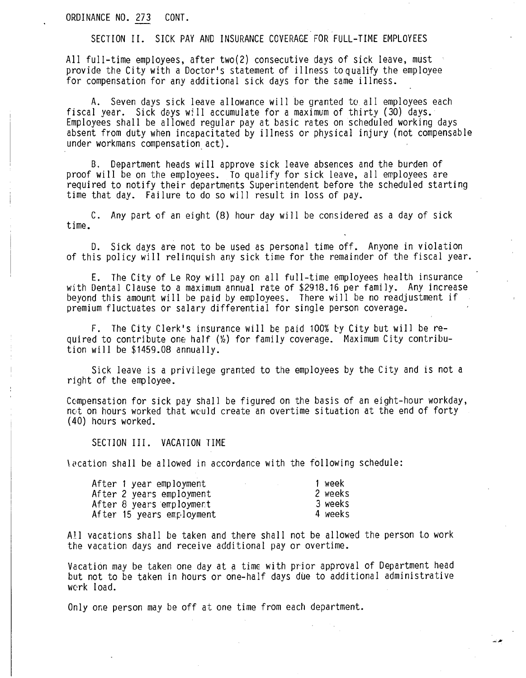ORDINANCE NO. 273 CONT.

SECTION II. SICK PAY AND INSURANCE COVERAGE FOR FULL-TIME EMPLOYEES

All full-time employees, after two(2) consecutive days of sick leave, must provide the City with a Doctor's statement of illness to qualify the employee for compensation for any additional sick days for the same illness.

A. Seven days sick leave allowance will be granted to all employees each fiscal year. Sick days will accumulate for a maximum of thirty (30) days. Employees shall be allowed regular pay at basic rates on scheduled working days absent from duty when incapacitated by illness or physical injury (not compensable under workmans compensation act).

B. Department heads will approve sick leave absences and the burden of proof will be on the employees. To qualify for sick leave, all employees are required to notify their departments Superintendent before the scheduled starting time that day. Failure to do so will result in loss of pay.

C. Any part of an eight (8) hour day will be considered as a day of sick time.

D. Sick days are not to be used as personal time off. Anyone in violation of this policy will relinquish any sick time for the remainder of the fiscal year.

E. The City of Le Roy will pay on all full-time employees health insurance with Dental Clause to a maximum annual rate of \$2918.16 per family. Any increase beyond this amount will be paid by employees. There will be no readjustment if premium fluctuates or salary differential for single person coverage.

F. The City Clerk's insurance will be paid 100% by City but will be required to contribute one half  $(\frac{1}{2})$  for family coverage. Maximum City contribution will be \$1459.08 annually.

Sick leave is a privilege granted to the employees by the City and is not a right of the employee.

Compensation for sick pay shall be figured on the basis of an eight-hour workday, not on hours worked that would create an overtime situation at the end of forty (40) hours worked.

SECTION III. VACATION TIME

lacation shall be allowed in accordance with the following schedule:

| After 1 year employment   | 1 week  |
|---------------------------|---------|
| After 2 years employment  | 2 weeks |
| After 8 years employment  | 3 weeks |
| After 15 years employment | 4 weeks |

All vacations shall be taken and there shall not be allowed the person to work the vacation days and receive additional pay or overtime.

Vacation may be taken one day at a time with prior approval of Department head but not to be taken in hours or one-half days due to additional administrative work load.

فترتب

Only one person may be off at one time from each department.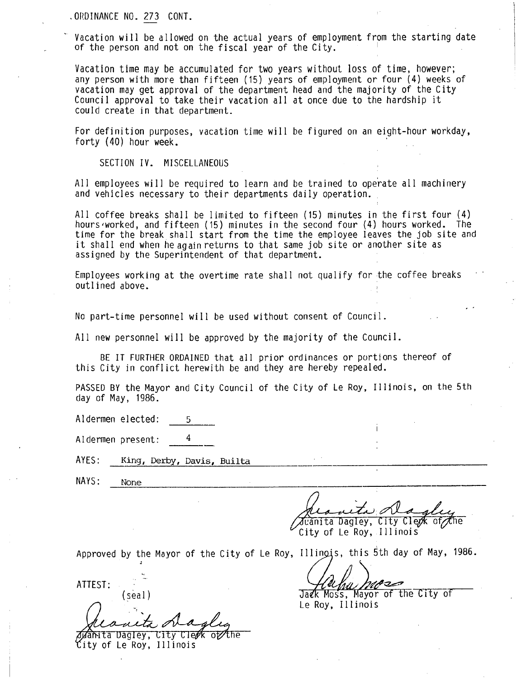ORDINANCE NO. 273 CONT.

Vacation will be allowed on the actual years of employment from the starting date of the person and not on the fiscal year of the City.

Vacation time may be accumulated for two years without loss of time, however; any person with more than fifteen (15) years of employment or four (4) weeks of vacation may get approval of the department head and the majority of the City Council approval to take their vacation all at once due to the hardship it could create in that department.

For definition purposes, vacation time will be figured on an eight-hour workday, forty (40) hour week.

SECTION IV. MISCELLANEOUS

All employees will be required to learn and be trained to operate all machinery and vehicles necessary to their departments daily operation.

All coffee breaks shall be limited to fifteen (15) minutes in the first four (4) hours worked, and fifteen (15) minutes in the second four (4) hours worked. The time for the break shall start from the time the employee leaves the job site and it shall end when he again returns to that same job site or another site as assigned by the Superintendent of that department.

Employees working at the overtime rate shall not qualify for the coffee breaks outlined above.

No part-time personnel will be used without consent of Council.

All new personnel will be approved by the majority of the Council.

BE IT FURTHER ORDAINED that all prior ordinances or portions thereof of this City in conflict herewith be and they are hereby repealed.

PASSED BY the Mayor and City Council of the City of Le Roy, Illinois, on the 5th day of May, 1986.

Aldermen elected: 5

Aldermen present: 4

AYES: King, Derby, Davis, Builta

NAYS: None

 $J$ uanita Dagley, City Clepk of the

City of Le Roy, Illinois

Approved by the Mayor of the City of Le Roy, Illinois, this 5th day of May, 1986.

ATTEST: Participation of the Carlos Processor

(seal) **Jack Moss, Mayor of the City of** Le Roy, Illinois

wanta Dagley, City Clerk of the

ity of Le Roy, Illinois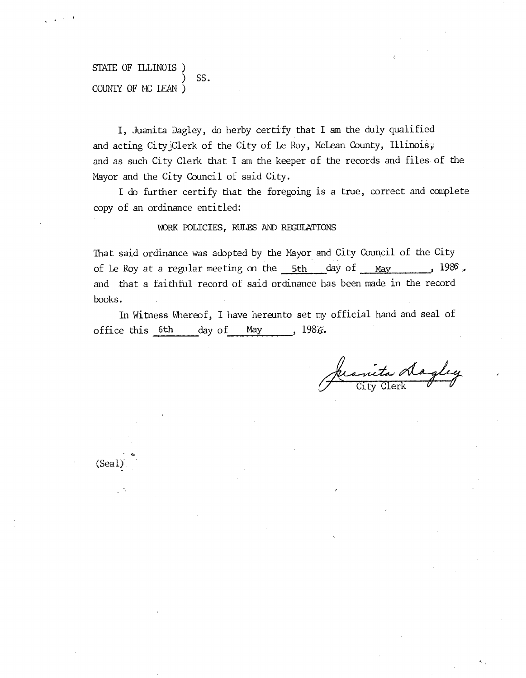## STATE OF ILLINOIS ) SS. COUNTY OF MC LEAN )

I, Juanita Dagley, do herby certify that I am the duly qualified and acting CityjClerk of the City of Le Roy, McLean County, Illinois; and as such City Clerk that I am the keeper of the records and files of the Mayor and the City Council of said City.

I do further certify that the foregoing is a true, correct and complete copy of an ordinance entitled:

### WORK POLICIES, RULES AND REGULATIONS

That said ordinance was adopted by the Mayor and City Council of the City of Le Roy at a regular meeting on the  $5th$  day of May 1986. and that a faithful record of said ordinance has been made in the record books.

In Witness Whereof, I have hereunto set my official hand and seal of office this 6th day of May , 1986.

anita dagley

 $5 -$ 

. 4 (Seal)